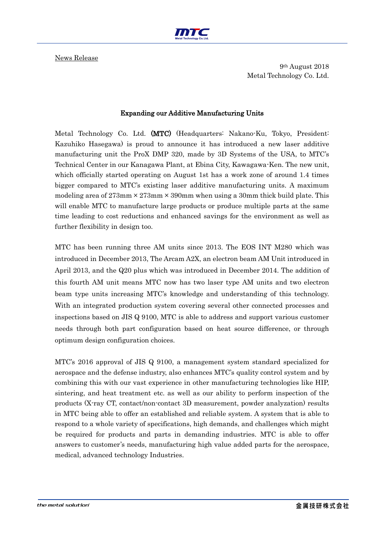

News Release

9th August 2018 Metal Technology Co. Ltd.

## Expanding our Additive Manufacturing Units

Metal Technology Co. Ltd. (MTC) (Headquarters: Nakano-Ku, Tokyo, President: Kazuhiko Hasegawa) is proud to announce it has introduced a new laser additive manufacturing unit the ProX DMP 320, made by 3D Systems of the USA, to MTC's Technical Center in our Kanagawa Plant, at Ebina City, Kawagawa-Ken. The new unit, which officially started operating on August 1st has a work zone of around 1.4 times bigger compared to MTC's existing laser additive manufacturing units. A maximum modeling area of  $273 \text{mm} \times 273 \text{mm} \times 390 \text{mm}$  when using a 30mm thick build plate. This will enable MTC to manufacture large products or produce multiple parts at the same time leading to cost reductions and enhanced savings for the environment as well as further flexibility in design too.

MTC has been running three AM units since 2013. The EOS INT M280 which was introduced in December 2013, The Arcam A2X, an electron beam AM Unit introduced in April 2013, and the Q20 plus which was introduced in December 2014. The addition of this fourth AM unit means MTC now has two laser type AM units and two electron beam type units increasing MTC's knowledge and understanding of this technology. With an integrated production system covering several other connected processes and inspections based on JIS Q 9100, MTC is able to address and support various customer needs through both part configuration based on heat source difference, or through optimum design configuration choices.

MTC's 2016 approval of JIS Q 9100, a management system standard specialized for aerospace and the defense industry, also enhances MTC's quality control system and by combining this with our vast experience in other manufacturing technologies like HIP, sintering, and heat treatment etc. as well as our ability to perform inspection of the products (X-ray CT, contact/non-contact 3D measurement, powder analyzation) results in MTC being able to offer an established and reliable system. A system that is able to respond to a whole variety of specifications, high demands, and challenges which might be required for products and parts in demanding industries. MTC is able to offer answers to customer's needs, manufacturing high value added parts for the aerospace, medical, advanced technology Industries.